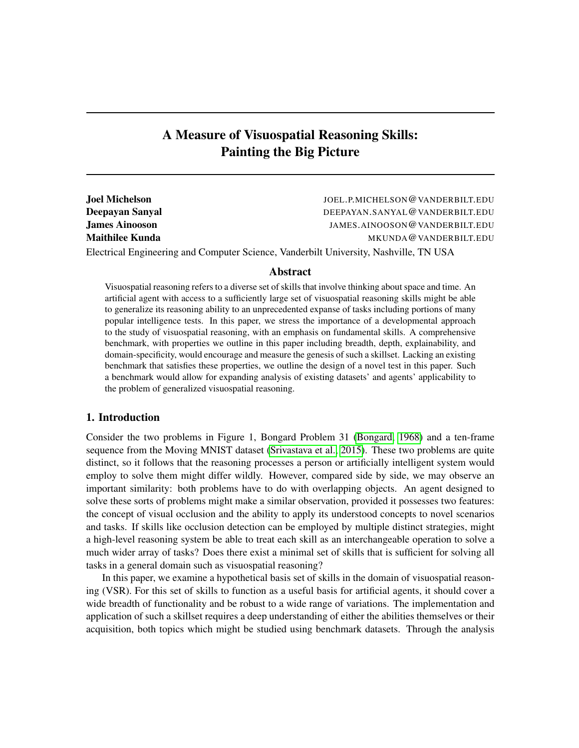# A Measure of Visuospatial Reasoning Skills: Painting the Big Picture

| <b>Joel Michelson</b> | JOEL.P.MICHELSON@VANDERBILT.EDU   |
|-----------------------|-----------------------------------|
| Deepayan Sanyal       | DEEPAYAN.SANYAL@VANDERBILT.EDU    |
| <b>James Ainooson</b> | JAMES, AINOOSON @ VANDERBILT, EDU |
| Maithilee Kunda       | MKUNDA@VANDERBILT.EDU             |
|                       |                                   |

Electrical Engineering and Computer Science, Vanderbilt University, Nashville, TN USA

# Abstract

Visuospatial reasoning refers to a diverse set of skills that involve thinking about space and time. An artificial agent with access to a sufficiently large set of visuospatial reasoning skills might be able to generalize its reasoning ability to an unprecedented expanse of tasks including portions of many popular intelligence tests. In this paper, we stress the importance of a developmental approach to the study of visuospatial reasoning, with an emphasis on fundamental skills. A comprehensive benchmark, with properties we outline in this paper including breadth, depth, explainability, and domain-specificity, would encourage and measure the genesis of such a skillset. Lacking an existing benchmark that satisfies these properties, we outline the design of a novel test in this paper. Such a benchmark would allow for expanding analysis of existing datasets' and agents' applicability to the problem of generalized visuospatial reasoning.

# 1. Introduction

Consider the two problems in Figure 1, Bongard Problem 31 [\(Bongard, 1968\)](#page-15-0) and a ten-frame sequence from the Moving MNIST dataset [\(Srivastava et al., 2015\)](#page-17-0). These two problems are quite distinct, so it follows that the reasoning processes a person or artificially intelligent system would employ to solve them might differ wildly. However, compared side by side, we may observe an important similarity: both problems have to do with overlapping objects. An agent designed to solve these sorts of problems might make a similar observation, provided it possesses two features: the concept of visual occlusion and the ability to apply its understood concepts to novel scenarios and tasks. If skills like occlusion detection can be employed by multiple distinct strategies, might a high-level reasoning system be able to treat each skill as an interchangeable operation to solve a much wider array of tasks? Does there exist a minimal set of skills that is sufficient for solving all tasks in a general domain such as visuospatial reasoning?

In this paper, we examine a hypothetical basis set of skills in the domain of visuospatial reasoning (VSR). For this set of skills to function as a useful basis for artificial agents, it should cover a wide breadth of functionality and be robust to a wide range of variations. The implementation and application of such a skillset requires a deep understanding of either the abilities themselves or their acquisition, both topics which might be studied using benchmark datasets. Through the analysis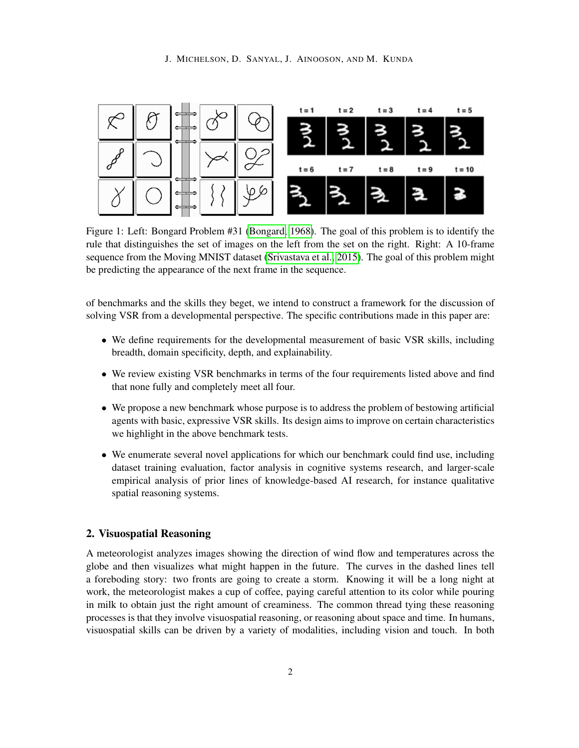

Figure 1: Left: Bongard Problem #31 [\(Bongard, 1968\)](#page-15-0). The goal of this problem is to identify the rule that distinguishes the set of images on the left from the set on the right. Right: A 10-frame sequence from the Moving MNIST dataset [\(Srivastava et al., 2015\)](#page-17-0). The goal of this problem might be predicting the appearance of the next frame in the sequence.

of benchmarks and the skills they beget, we intend to construct a framework for the discussion of solving VSR from a developmental perspective. The specific contributions made in this paper are:

- We define requirements for the developmental measurement of basic VSR skills, including breadth, domain specificity, depth, and explainability.
- We review existing VSR benchmarks in terms of the four requirements listed above and find that none fully and completely meet all four.
- We propose a new benchmark whose purpose is to address the problem of bestowing artificial agents with basic, expressive VSR skills. Its design aims to improve on certain characteristics we highlight in the above benchmark tests.
- We enumerate several novel applications for which our benchmark could find use, including dataset training evaluation, factor analysis in cognitive systems research, and larger-scale empirical analysis of prior lines of knowledge-based AI research, for instance qualitative spatial reasoning systems.

### 2. Visuospatial Reasoning

A meteorologist analyzes images showing the direction of wind flow and temperatures across the globe and then visualizes what might happen in the future. The curves in the dashed lines tell a foreboding story: two fronts are going to create a storm. Knowing it will be a long night at work, the meteorologist makes a cup of coffee, paying careful attention to its color while pouring in milk to obtain just the right amount of creaminess. The common thread tying these reasoning processes is that they involve visuospatial reasoning, or reasoning about space and time. In humans, visuospatial skills can be driven by a variety of modalities, including vision and touch. In both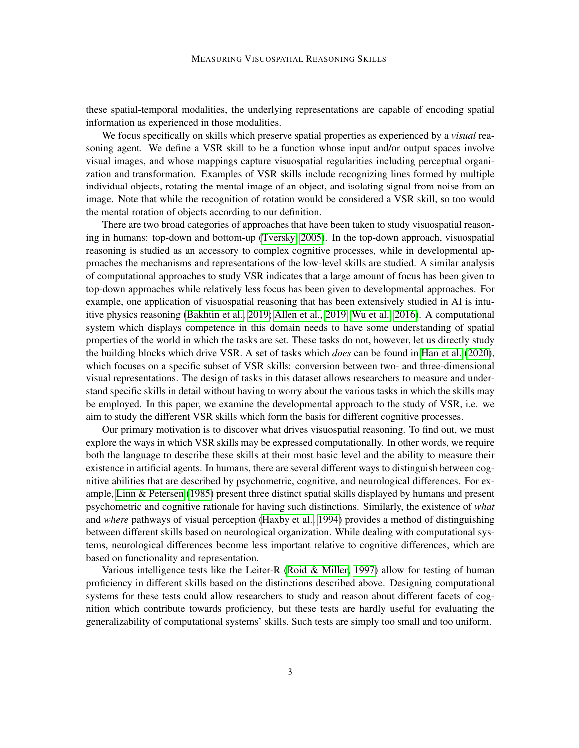these spatial-temporal modalities, the underlying representations are capable of encoding spatial information as experienced in those modalities.

We focus specifically on skills which preserve spatial properties as experienced by a *visual* reasoning agent. We define a VSR skill to be a function whose input and/or output spaces involve visual images, and whose mappings capture visuospatial regularities including perceptual organization and transformation. Examples of VSR skills include recognizing lines formed by multiple individual objects, rotating the mental image of an object, and isolating signal from noise from an image. Note that while the recognition of rotation would be considered a VSR skill, so too would the mental rotation of objects according to our definition.

There are two broad categories of approaches that have been taken to study visuospatial reasoning in humans: top-down and bottom-up [\(Tversky, 2005\)](#page-18-0). In the top-down approach, visuospatial reasoning is studied as an accessory to complex cognitive processes, while in developmental approaches the mechanisms and representations of the low-level skills are studied. A similar analysis of computational approaches to study VSR indicates that a large amount of focus has been given to top-down approaches while relatively less focus has been given to developmental approaches. For example, one application of visuospatial reasoning that has been extensively studied in AI is intuitive physics reasoning [\(Bakhtin et al., 2019;](#page-15-1) [Allen et al., 2019;](#page-15-2) [Wu et al., 2016\)](#page-18-1). A computational system which displays competence in this domain needs to have some understanding of spatial properties of the world in which the tasks are set. These tasks do not, however, let us directly study the building blocks which drive VSR. A set of tasks which *does* can be found in [Han et al.](#page-16-0) [\(2020\)](#page-16-0), which focuses on a specific subset of VSR skills: conversion between two- and three-dimensional visual representations. The design of tasks in this dataset allows researchers to measure and understand specific skills in detail without having to worry about the various tasks in which the skills may be employed. In this paper, we examine the developmental approach to the study of VSR, i.e. we aim to study the different VSR skills which form the basis for different cognitive processes.

Our primary motivation is to discover what drives visuospatial reasoning. To find out, we must explore the ways in which VSR skills may be expressed computationally. In other words, we require both the language to describe these skills at their most basic level and the ability to measure their existence in artificial agents. In humans, there are several different ways to distinguish between cognitive abilities that are described by psychometric, cognitive, and neurological differences. For example, [Linn & Petersen](#page-17-1) [\(1985\)](#page-17-1) present three distinct spatial skills displayed by humans and present psychometric and cognitive rationale for having such distinctions. Similarly, the existence of *what* and *where* pathways of visual perception [\(Haxby et al., 1994\)](#page-16-1) provides a method of distinguishing between different skills based on neurological organization. While dealing with computational systems, neurological differences become less important relative to cognitive differences, which are based on functionality and representation.

Various intelligence tests like the Leiter-R [\(Roid & Miller, 1997\)](#page-17-2) allow for testing of human proficiency in different skills based on the distinctions described above. Designing computational systems for these tests could allow researchers to study and reason about different facets of cognition which contribute towards proficiency, but these tests are hardly useful for evaluating the generalizability of computational systems' skills. Such tests are simply too small and too uniform.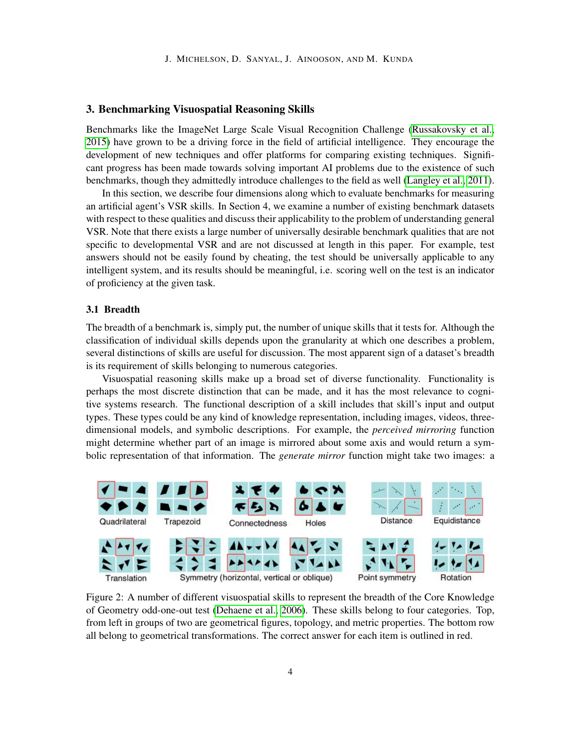# 3. Benchmarking Visuospatial Reasoning Skills

Benchmarks like the ImageNet Large Scale Visual Recognition Challenge [\(Russakovsky et al.,](#page-17-3) [2015\)](#page-17-3) have grown to be a driving force in the field of artificial intelligence. They encourage the development of new techniques and offer platforms for comparing existing techniques. Significant progress has been made towards solving important AI problems due to the existence of such benchmarks, though they admittedly introduce challenges to the field as well [\(Langley et al., 2011\)](#page-17-4).

In this section, we describe four dimensions along which to evaluate benchmarks for measuring an artificial agent's VSR skills. In Section 4, we examine a number of existing benchmark datasets with respect to these qualities and discuss their applicability to the problem of understanding general VSR. Note that there exists a large number of universally desirable benchmark qualities that are not specific to developmental VSR and are not discussed at length in this paper. For example, test answers should not be easily found by cheating, the test should be universally applicable to any intelligent system, and its results should be meaningful, i.e. scoring well on the test is an indicator of proficiency at the given task.

# 3.1 Breadth

The breadth of a benchmark is, simply put, the number of unique skills that it tests for. Although the classification of individual skills depends upon the granularity at which one describes a problem, several distinctions of skills are useful for discussion. The most apparent sign of a dataset's breadth is its requirement of skills belonging to numerous categories.

Visuospatial reasoning skills make up a broad set of diverse functionality. Functionality is perhaps the most discrete distinction that can be made, and it has the most relevance to cognitive systems research. The functional description of a skill includes that skill's input and output types. These types could be any kind of knowledge representation, including images, videos, threedimensional models, and symbolic descriptions. For example, the *perceived mirroring* function might determine whether part of an image is mirrored about some axis and would return a symbolic representation of that information. The *generate mirror* function might take two images: a



Figure 2: A number of different visuospatial skills to represent the breadth of the Core Knowledge of Geometry odd-one-out test [\(Dehaene et al., 2006\)](#page-16-2). These skills belong to four categories. Top, from left in groups of two are geometrical figures, topology, and metric properties. The bottom row all belong to geometrical transformations. The correct answer for each item is outlined in red.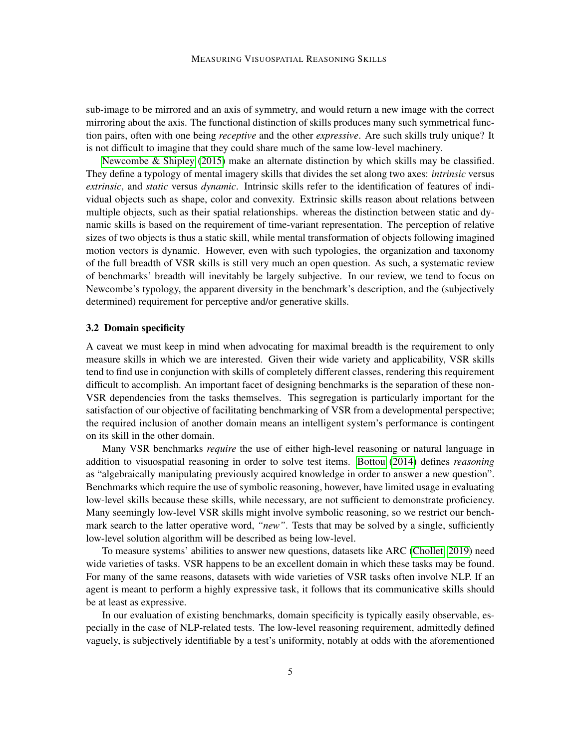sub-image to be mirrored and an axis of symmetry, and would return a new image with the correct mirroring about the axis. The functional distinction of skills produces many such symmetrical function pairs, often with one being *receptive* and the other *expressive*. Are such skills truly unique? It is not difficult to imagine that they could share much of the same low-level machinery.

[Newcombe & Shipley](#page-17-5) [\(2015\)](#page-17-5) make an alternate distinction by which skills may be classified. They define a typology of mental imagery skills that divides the set along two axes: *intrinsic* versus *extrinsic*, and *static* versus *dynamic*. Intrinsic skills refer to the identification of features of individual objects such as shape, color and convexity. Extrinsic skills reason about relations between multiple objects, such as their spatial relationships. whereas the distinction between static and dynamic skills is based on the requirement of time-variant representation. The perception of relative sizes of two objects is thus a static skill, while mental transformation of objects following imagined motion vectors is dynamic. However, even with such typologies, the organization and taxonomy of the full breadth of VSR skills is still very much an open question. As such, a systematic review of benchmarks' breadth will inevitably be largely subjective. In our review, we tend to focus on Newcombe's typology, the apparent diversity in the benchmark's description, and the (subjectively determined) requirement for perceptive and/or generative skills.

### 3.2 Domain specificity

A caveat we must keep in mind when advocating for maximal breadth is the requirement to only measure skills in which we are interested. Given their wide variety and applicability, VSR skills tend to find use in conjunction with skills of completely different classes, rendering this requirement difficult to accomplish. An important facet of designing benchmarks is the separation of these non-VSR dependencies from the tasks themselves. This segregation is particularly important for the satisfaction of our objective of facilitating benchmarking of VSR from a developmental perspective; the required inclusion of another domain means an intelligent system's performance is contingent on its skill in the other domain.

Many VSR benchmarks *require* the use of either high-level reasoning or natural language in addition to visuospatial reasoning in order to solve test items. [Bottou](#page-15-3) [\(2014\)](#page-15-3) defines *reasoning* as "algebraically manipulating previously acquired knowledge in order to answer a new question". Benchmarks which require the use of symbolic reasoning, however, have limited usage in evaluating low-level skills because these skills, while necessary, are not sufficient to demonstrate proficiency. Many seemingly low-level VSR skills might involve symbolic reasoning, so we restrict our benchmark search to the latter operative word, *"new"*. Tests that may be solved by a single, sufficiently low-level solution algorithm will be described as being low-level.

To measure systems' abilities to answer new questions, datasets like ARC [\(Chollet, 2019\)](#page-16-3) need wide varieties of tasks. VSR happens to be an excellent domain in which these tasks may be found. For many of the same reasons, datasets with wide varieties of VSR tasks often involve NLP. If an agent is meant to perform a highly expressive task, it follows that its communicative skills should be at least as expressive.

In our evaluation of existing benchmarks, domain specificity is typically easily observable, especially in the case of NLP-related tests. The low-level reasoning requirement, admittedly defined vaguely, is subjectively identifiable by a test's uniformity, notably at odds with the aforementioned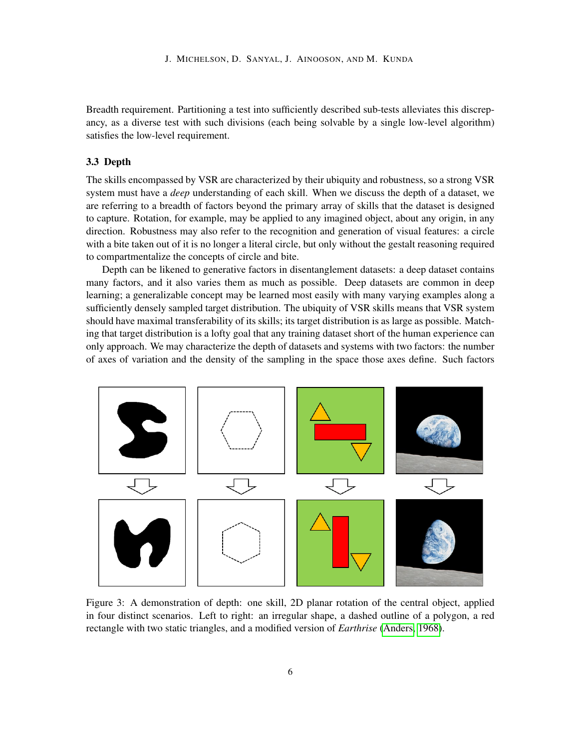Breadth requirement. Partitioning a test into sufficiently described sub-tests alleviates this discrepancy, as a diverse test with such divisions (each being solvable by a single low-level algorithm) satisfies the low-level requirement.

# 3.3 Depth

The skills encompassed by VSR are characterized by their ubiquity and robustness, so a strong VSR system must have a *deep* understanding of each skill. When we discuss the depth of a dataset, we are referring to a breadth of factors beyond the primary array of skills that the dataset is designed to capture. Rotation, for example, may be applied to any imagined object, about any origin, in any direction. Robustness may also refer to the recognition and generation of visual features: a circle with a bite taken out of it is no longer a literal circle, but only without the gestalt reasoning required to compartmentalize the concepts of circle and bite.

Depth can be likened to generative factors in disentanglement datasets: a deep dataset contains many factors, and it also varies them as much as possible. Deep datasets are common in deep learning; a generalizable concept may be learned most easily with many varying examples along a sufficiently densely sampled target distribution. The ubiquity of VSR skills means that VSR system should have maximal transferability of its skills; its target distribution is as large as possible. Matching that target distribution is a lofty goal that any training dataset short of the human experience can only approach. We may characterize the depth of datasets and systems with two factors: the number of axes of variation and the density of the sampling in the space those axes define. Such factors



Figure 3: A demonstration of depth: one skill, 2D planar rotation of the central object, applied in four distinct scenarios. Left to right: an irregular shape, a dashed outline of a polygon, a red rectangle with two static triangles, and a modified version of *Earthrise* [\(Anders, 1968\)](#page-15-4).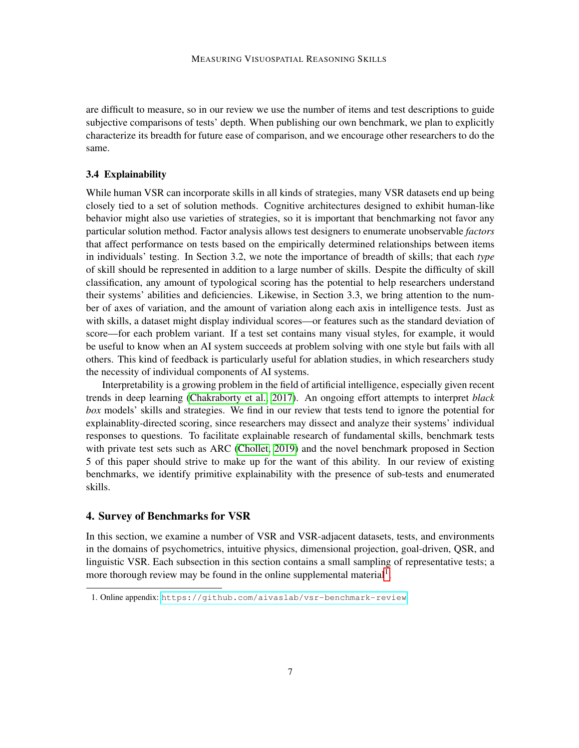are difficult to measure, so in our review we use the number of items and test descriptions to guide subjective comparisons of tests' depth. When publishing our own benchmark, we plan to explicitly characterize its breadth for future ease of comparison, and we encourage other researchers to do the same.

### 3.4 Explainability

While human VSR can incorporate skills in all kinds of strategies, many VSR datasets end up being closely tied to a set of solution methods. Cognitive architectures designed to exhibit human-like behavior might also use varieties of strategies, so it is important that benchmarking not favor any particular solution method. Factor analysis allows test designers to enumerate unobservable *factors* that affect performance on tests based on the empirically determined relationships between items in individuals' testing. In Section 3.2, we note the importance of breadth of skills; that each *type* of skill should be represented in addition to a large number of skills. Despite the difficulty of skill classification, any amount of typological scoring has the potential to help researchers understand their systems' abilities and deficiencies. Likewise, in Section 3.3, we bring attention to the number of axes of variation, and the amount of variation along each axis in intelligence tests. Just as with skills, a dataset might display individual scores—or features such as the standard deviation of score—for each problem variant. If a test set contains many visual styles, for example, it would be useful to know when an AI system succeeds at problem solving with one style but fails with all others. This kind of feedback is particularly useful for ablation studies, in which researchers study the necessity of individual components of AI systems.

Interpretability is a growing problem in the field of artificial intelligence, especially given recent trends in deep learning [\(Chakraborty et al., 2017\)](#page-15-5). An ongoing effort attempts to interpret *black box* models' skills and strategies. We find in our review that tests tend to ignore the potential for explainablity-directed scoring, since researchers may dissect and analyze their systems' individual responses to questions. To facilitate explainable research of fundamental skills, benchmark tests with private test sets such as ARC [\(Chollet, 2019\)](#page-16-3) and the novel benchmark proposed in Section 5 of this paper should strive to make up for the want of this ability. In our review of existing benchmarks, we identify primitive explainability with the presence of sub-tests and enumerated skills.

# 4. Survey of Benchmarks for VSR

In this section, we examine a number of VSR and VSR-adjacent datasets, tests, and environments in the domains of psychometrics, intuitive physics, dimensional projection, goal-driven, QSR, and linguistic VSR. Each subsection in this section contains a small sampling of representative tests; a more thorough review may be found in the online supplemental material<sup>[1](#page-6-0)</sup>.

<span id="page-6-0"></span><sup>1.</sup> Online appendix: <https://github.com/aivaslab/vsr-benchmark-review>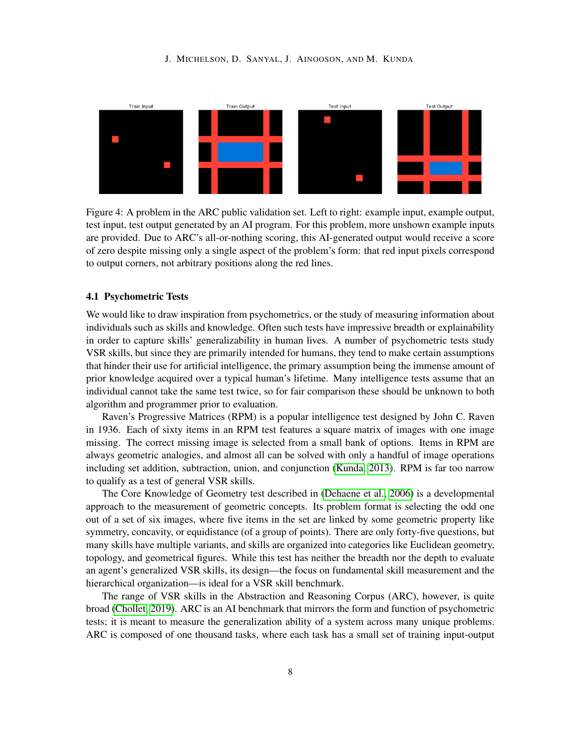#### J. MICHELSON, D. SANYAL, J. AINOOSON, AND M. KUNDA

<span id="page-7-0"></span>

Figure 4: A problem in the ARC public validation set. Left to right: example input, example output, test input, test output generated by an AI program. For this problem, more unshown example inputs are provided. Due to ARC's all-or-nothing scoring, this AI-generated output would receive a score of zero despite missing only a single aspect of the problem's form: that red input pixels correspond to output corners, not arbitrary positions along the red lines.

# 4.1 Psychometric Tests

We would like to draw inspiration from psychometrics, or the study of measuring information about individuals such as skills and knowledge. Often such tests have impressive breadth or explainability in order to capture skills' generalizability in human lives. A number of psychometric tests study VSR skills, but since they are primarily intended for humans, they tend to make certain assumptions that hinder their use for artificial intelligence, the primary assumption being the immense amount of prior knowledge acquired over a typical human's lifetime. Many intelligence tests assume that an individual cannot take the same test twice, so for fair comparison these should be unknown to both algorithm and programmer prior to evaluation.

Raven's Progressive Matrices (RPM) is a popular intelligence test designed by John C. Raven in 1936. Each of sixty items in an RPM test features a square matrix of images with one image missing. The correct missing image is selected from a small bank of options. Items in RPM are always geometric analogies, and almost all can be solved with only a handful of image operations including set addition, subtraction, union, and conjunction [\(Kunda, 2013\)](#page-17-6). RPM is far too narrow to qualify as a test of general VSR skills.

The Core Knowledge of Geometry test described in [\(Dehaene et al., 2006\)](#page-16-2) is a developmental approach to the measurement of geometric concepts. Its problem format is selecting the odd one out of a set of six images, where five items in the set are linked by some geometric property like symmetry, concavity, or equidistance (of a group of points). There are only forty-five questions, but many skills have multiple variants, and skills are organized into categories like Euclidean geometry, topology, and geometrical figures. While this test has neither the breadth nor the depth to evaluate an agent's generalized VSR skills, its design—the focus on fundamental skill measurement and the hierarchical organization—is ideal for a VSR skill benchmark.

The range of VSR skills in the Abstraction and Reasoning Corpus (ARC), however, is quite broad [\(Chollet, 2019\)](#page-16-3). ARC is an AI benchmark that mirrors the form and function of psychometric tests; it is meant to measure the generalization ability of a system across many unique problems. ARC is composed of one thousand tasks, where each task has a small set of training input-output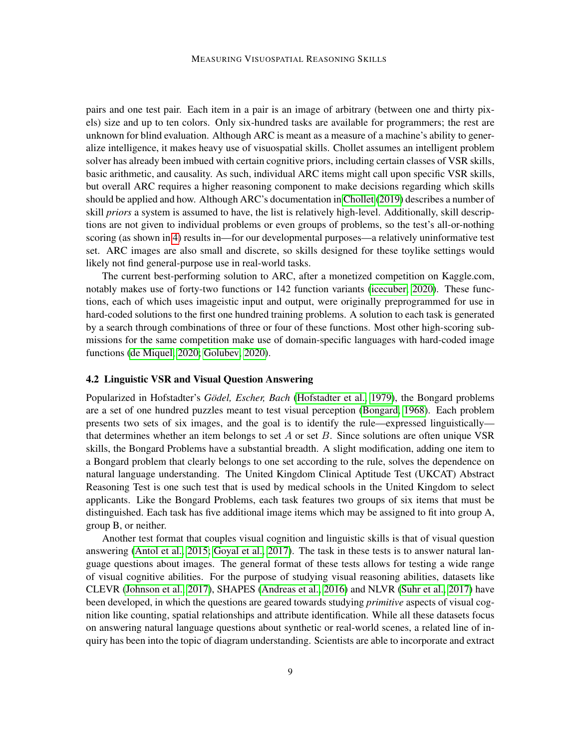pairs and one test pair. Each item in a pair is an image of arbitrary (between one and thirty pixels) size and up to ten colors. Only six-hundred tasks are available for programmers; the rest are unknown for blind evaluation. Although ARC is meant as a measure of a machine's ability to generalize intelligence, it makes heavy use of visuospatial skills. Chollet assumes an intelligent problem solver has already been imbued with certain cognitive priors, including certain classes of VSR skills, basic arithmetic, and causality. As such, individual ARC items might call upon specific VSR skills, but overall ARC requires a higher reasoning component to make decisions regarding which skills should be applied and how. Although ARC's documentation in [Chollet](#page-16-3) [\(2019\)](#page-16-3) describes a number of skill *priors* a system is assumed to have, the list is relatively high-level. Additionally, skill descriptions are not given to individual problems or even groups of problems, so the test's all-or-nothing scoring (as shown in [4\)](#page-7-0) results in—for our developmental purposes—a relatively uninformative test set. ARC images are also small and discrete, so skills designed for these toylike settings would likely not find general-purpose use in real-world tasks.

The current best-performing solution to ARC, after a monetized competition on Kaggle.com, notably makes use of forty-two functions or 142 function variants [\(icecuber, 2020\)](#page-16-4). These functions, each of which uses imageistic input and output, were originally preprogrammed for use in hard-coded solutions to the first one hundred training problems. A solution to each task is generated by a search through combinations of three or four of these functions. Most other high-scoring submissions for the same competition make use of domain-specific languages with hard-coded image functions [\(de Miquel, 2020;](#page-17-7) [Golubev, 2020\)](#page-16-5).

# 4.2 Linguistic VSR and Visual Question Answering

Popularized in Hofstadter's *Gödel, Escher, Bach* [\(Hofstadter et al., 1979\)](#page-16-6), the Bongard problems are a set of one hundred puzzles meant to test visual perception [\(Bongard, 1968\)](#page-15-0). Each problem presents two sets of six images, and the goal is to identify the rule—expressed linguistically that determines whether an item belongs to set  $A$  or set  $B$ . Since solutions are often unique VSR skills, the Bongard Problems have a substantial breadth. A slight modification, adding one item to a Bongard problem that clearly belongs to one set according to the rule, solves the dependence on natural language understanding. The United Kingdom Clinical Aptitude Test (UKCAT) Abstract Reasoning Test is one such test that is used by medical schools in the United Kingdom to select applicants. Like the Bongard Problems, each task features two groups of six items that must be distinguished. Each task has five additional image items which may be assigned to fit into group A, group B, or neither.

Another test format that couples visual cognition and linguistic skills is that of visual question answering [\(Antol et al., 2015;](#page-15-6) [Goyal et al., 2017\)](#page-16-7). The task in these tests is to answer natural language questions about images. The general format of these tests allows for testing a wide range of visual cognitive abilities. For the purpose of studying visual reasoning abilities, datasets like CLEVR [\(Johnson et al., 2017\)](#page-16-8), SHAPES [\(Andreas et al., 2016\)](#page-15-7) and NLVR [\(Suhr et al., 2017\)](#page-17-8) have been developed, in which the questions are geared towards studying *primitive* aspects of visual cognition like counting, spatial relationships and attribute identification. While all these datasets focus on answering natural language questions about synthetic or real-world scenes, a related line of inquiry has been into the topic of diagram understanding. Scientists are able to incorporate and extract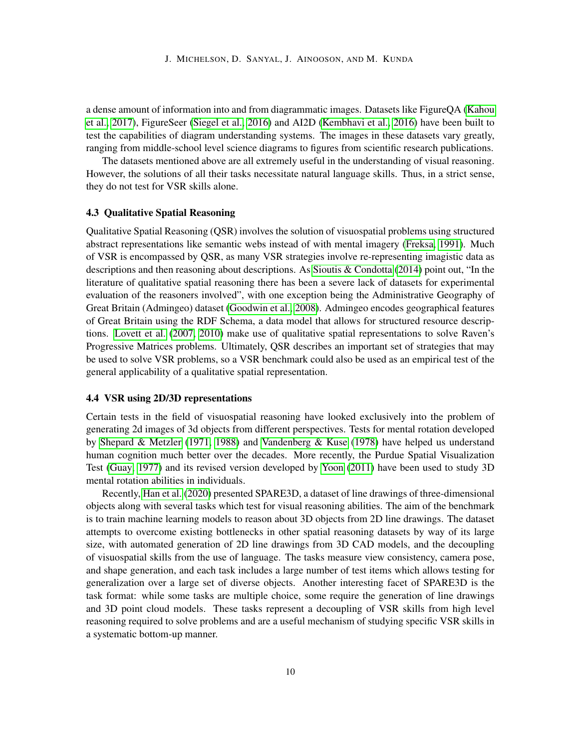a dense amount of information into and from diagrammatic images. Datasets like FigureQA [\(Kahou](#page-16-9) [et al., 2017\)](#page-16-9), FigureSeer [\(Siegel et al., 2016\)](#page-17-9) and AI2D [\(Kembhavi et al., 2016\)](#page-17-10) have been built to test the capabilities of diagram understanding systems. The images in these datasets vary greatly, ranging from middle-school level science diagrams to figures from scientific research publications.

The datasets mentioned above are all extremely useful in the understanding of visual reasoning. However, the solutions of all their tasks necessitate natural language skills. Thus, in a strict sense, they do not test for VSR skills alone.

# 4.3 Qualitative Spatial Reasoning

Qualitative Spatial Reasoning (QSR) involves the solution of visuospatial problems using structured abstract representations like semantic webs instead of with mental imagery [\(Freksa, 1991\)](#page-16-10). Much of VSR is encompassed by QSR, as many VSR strategies involve re-representing imagistic data as descriptions and then reasoning about descriptions. As [Sioutis & Condotta](#page-17-11) [\(2014\)](#page-17-11) point out, "In the literature of qualitative spatial reasoning there has been a severe lack of datasets for experimental evaluation of the reasoners involved", with one exception being the Administrative Geography of Great Britain (Admingeo) dataset [\(Goodwin et al., 2008\)](#page-16-11). Admingeo encodes geographical features of Great Britain using the RDF Schema, a data model that allows for structured resource descriptions. [Lovett et al.](#page-17-12) [\(2007,](#page-17-12) [2010\)](#page-17-13) make use of qualitative spatial representations to solve Raven's Progressive Matrices problems. Ultimately, QSR describes an important set of strategies that may be used to solve VSR problems, so a VSR benchmark could also be used as an empirical test of the general applicability of a qualitative spatial representation.

#### 4.4 VSR using 2D/3D representations

Certain tests in the field of visuospatial reasoning have looked exclusively into the problem of generating 2d images of 3d objects from different perspectives. Tests for mental rotation developed by [Shepard & Metzler](#page-17-14) [\(1971,](#page-17-14) [1988\)](#page-17-15) and [Vandenberg & Kuse](#page-18-2) [\(1978\)](#page-18-2) have helped us understand human cognition much better over the decades. More recently, the Purdue Spatial Visualization Test [\(Guay, 1977\)](#page-16-12) and its revised version developed by [Yoon](#page-18-3) [\(2011\)](#page-18-3) have been used to study 3D mental rotation abilities in individuals.

Recently, [Han et al.](#page-16-0) [\(2020\)](#page-16-0) presented SPARE3D, a dataset of line drawings of three-dimensional objects along with several tasks which test for visual reasoning abilities. The aim of the benchmark is to train machine learning models to reason about 3D objects from 2D line drawings. The dataset attempts to overcome existing bottlenecks in other spatial reasoning datasets by way of its large size, with automated generation of 2D line drawings from 3D CAD models, and the decoupling of visuospatial skills from the use of language. The tasks measure view consistency, camera pose, and shape generation, and each task includes a large number of test items which allows testing for generalization over a large set of diverse objects. Another interesting facet of SPARE3D is the task format: while some tasks are multiple choice, some require the generation of line drawings and 3D point cloud models. These tasks represent a decoupling of VSR skills from high level reasoning required to solve problems and are a useful mechanism of studying specific VSR skills in a systematic bottom-up manner.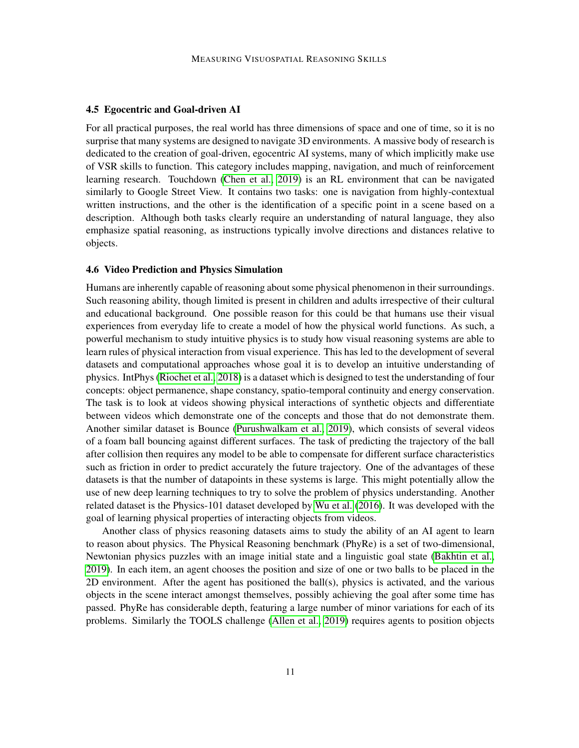### 4.5 Egocentric and Goal-driven AI

For all practical purposes, the real world has three dimensions of space and one of time, so it is no surprise that many systems are designed to navigate 3D environments. A massive body of research is dedicated to the creation of goal-driven, egocentric AI systems, many of which implicitly make use of VSR skills to function. This category includes mapping, navigation, and much of reinforcement learning research. Touchdown [\(Chen et al., 2019\)](#page-16-13) is an RL environment that can be navigated similarly to Google Street View. It contains two tasks: one is navigation from highly-contextual written instructions, and the other is the identification of a specific point in a scene based on a description. Although both tasks clearly require an understanding of natural language, they also emphasize spatial reasoning, as instructions typically involve directions and distances relative to objects.

### 4.6 Video Prediction and Physics Simulation

Humans are inherently capable of reasoning about some physical phenomenon in their surroundings. Such reasoning ability, though limited is present in children and adults irrespective of their cultural and educational background. One possible reason for this could be that humans use their visual experiences from everyday life to create a model of how the physical world functions. As such, a powerful mechanism to study intuitive physics is to study how visual reasoning systems are able to learn rules of physical interaction from visual experience. This has led to the development of several datasets and computational approaches whose goal it is to develop an intuitive understanding of physics. IntPhys [\(Riochet et al., 2018\)](#page-17-16) is a dataset which is designed to test the understanding of four concepts: object permanence, shape constancy, spatio-temporal continuity and energy conservation. The task is to look at videos showing physical interactions of synthetic objects and differentiate between videos which demonstrate one of the concepts and those that do not demonstrate them. Another similar dataset is Bounce [\(Purushwalkam et al., 2019\)](#page-17-17), which consists of several videos of a foam ball bouncing against different surfaces. The task of predicting the trajectory of the ball after collision then requires any model to be able to compensate for different surface characteristics such as friction in order to predict accurately the future trajectory. One of the advantages of these datasets is that the number of datapoints in these systems is large. This might potentially allow the use of new deep learning techniques to try to solve the problem of physics understanding. Another related dataset is the Physics-101 dataset developed by [Wu et al.](#page-18-1) [\(2016\)](#page-18-1). It was developed with the goal of learning physical properties of interacting objects from videos.

Another class of physics reasoning datasets aims to study the ability of an AI agent to learn to reason about physics. The Physical Reasoning benchmark (PhyRe) is a set of two-dimensional, Newtonian physics puzzles with an image initial state and a linguistic goal state [\(Bakhtin et al.,](#page-15-1) [2019\)](#page-15-1). In each item, an agent chooses the position and size of one or two balls to be placed in the 2D environment. After the agent has positioned the ball(s), physics is activated, and the various objects in the scene interact amongst themselves, possibly achieving the goal after some time has passed. PhyRe has considerable depth, featuring a large number of minor variations for each of its problems. Similarly the TOOLS challenge [\(Allen et al., 2019\)](#page-15-2) requires agents to position objects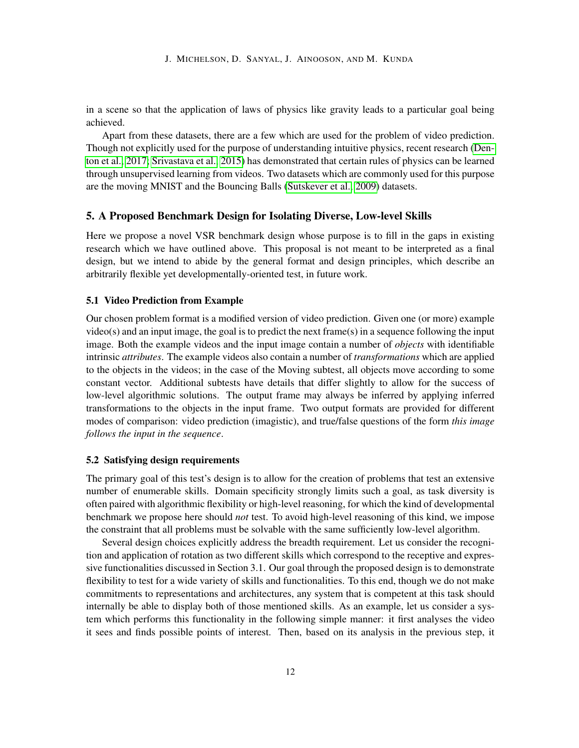in a scene so that the application of laws of physics like gravity leads to a particular goal being achieved.

Apart from these datasets, there are a few which are used for the problem of video prediction. Though not explicitly used for the purpose of understanding intuitive physics, recent research [\(Den](#page-16-14)[ton et al., 2017;](#page-16-14) [Srivastava et al., 2015\)](#page-17-0) has demonstrated that certain rules of physics can be learned through unsupervised learning from videos. Two datasets which are commonly used for this purpose are the moving MNIST and the Bouncing Balls [\(Sutskever et al., 2009\)](#page-18-4) datasets.

### 5. A Proposed Benchmark Design for Isolating Diverse, Low-level Skills

Here we propose a novel VSR benchmark design whose purpose is to fill in the gaps in existing research which we have outlined above. This proposal is not meant to be interpreted as a final design, but we intend to abide by the general format and design principles, which describe an arbitrarily flexible yet developmentally-oriented test, in future work.

# 5.1 Video Prediction from Example

Our chosen problem format is a modified version of video prediction. Given one (or more) example video(s) and an input image, the goal is to predict the next frame(s) in a sequence following the input image. Both the example videos and the input image contain a number of *objects* with identifiable intrinsic *attributes*. The example videos also contain a number of *transformations* which are applied to the objects in the videos; in the case of the Moving subtest, all objects move according to some constant vector. Additional subtests have details that differ slightly to allow for the success of low-level algorithmic solutions. The output frame may always be inferred by applying inferred transformations to the objects in the input frame. Two output formats are provided for different modes of comparison: video prediction (imagistic), and true/false questions of the form *this image follows the input in the sequence*.

#### 5.2 Satisfying design requirements

The primary goal of this test's design is to allow for the creation of problems that test an extensive number of enumerable skills. Domain specificity strongly limits such a goal, as task diversity is often paired with algorithmic flexibility or high-level reasoning, for which the kind of developmental benchmark we propose here should *not* test. To avoid high-level reasoning of this kind, we impose the constraint that all problems must be solvable with the same sufficiently low-level algorithm.

Several design choices explicitly address the breadth requirement. Let us consider the recognition and application of rotation as two different skills which correspond to the receptive and expressive functionalities discussed in Section 3.1. Our goal through the proposed design is to demonstrate flexibility to test for a wide variety of skills and functionalities. To this end, though we do not make commitments to representations and architectures, any system that is competent at this task should internally be able to display both of those mentioned skills. As an example, let us consider a system which performs this functionality in the following simple manner: it first analyses the video it sees and finds possible points of interest. Then, based on its analysis in the previous step, it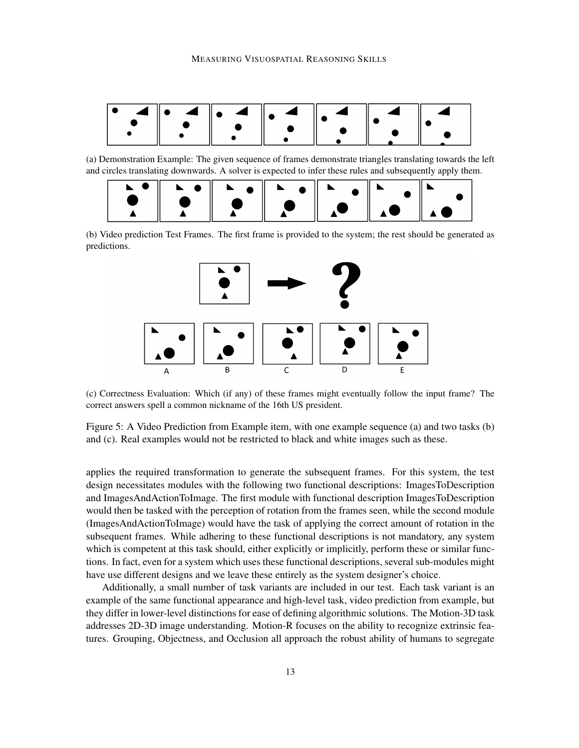

(a) Demonstration Example: The given sequence of frames demonstrate triangles translating towards the left and circles translating downwards. A solver is expected to infer these rules and subsequently apply them.



(b) Video prediction Test Frames. The first frame is provided to the system; the rest should be generated as predictions.



(c) Correctness Evaluation: Which (if any) of these frames might eventually follow the input frame? The correct answers spell a common nickname of the 16th US president.

Figure 5: A Video Prediction from Example item, with one example sequence (a) and two tasks (b) and (c). Real examples would not be restricted to black and white images such as these.

applies the required transformation to generate the subsequent frames. For this system, the test design necessitates modules with the following two functional descriptions: ImagesToDescription and ImagesAndActionToImage. The first module with functional description ImagesToDescription would then be tasked with the perception of rotation from the frames seen, while the second module (ImagesAndActionToImage) would have the task of applying the correct amount of rotation in the subsequent frames. While adhering to these functional descriptions is not mandatory, any system which is competent at this task should, either explicitly or implicitly, perform these or similar functions. In fact, even for a system which uses these functional descriptions, several sub-modules might have use different designs and we leave these entirely as the system designer's choice.

Additionally, a small number of task variants are included in our test. Each task variant is an example of the same functional appearance and high-level task, video prediction from example, but they differ in lower-level distinctions for ease of defining algorithmic solutions. The Motion-3D task addresses 2D-3D image understanding. Motion-R focuses on the ability to recognize extrinsic features. Grouping, Objectness, and Occlusion all approach the robust ability of humans to segregate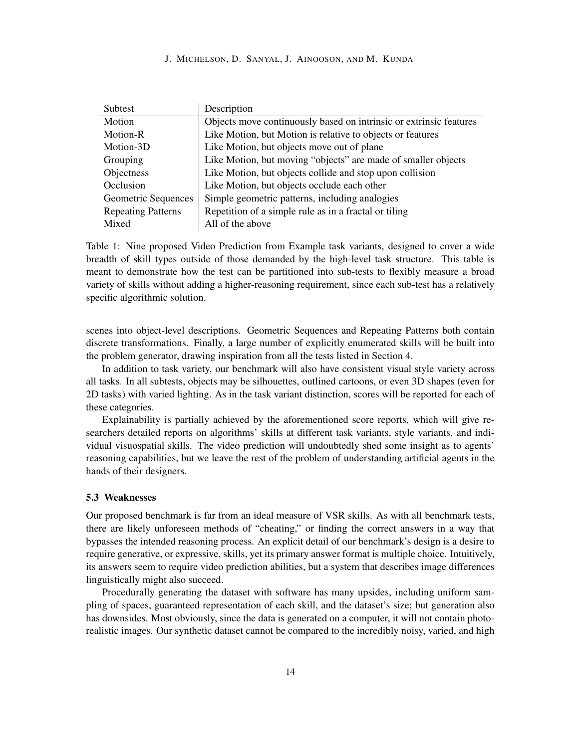#### J. MICHELSON, D. SANYAL, J. AINOOSON, AND M. KUNDA

| Subtest                   | Description                                                        |
|---------------------------|--------------------------------------------------------------------|
| Motion                    | Objects move continuously based on intrinsic or extrinsic features |
| Motion-R                  | Like Motion, but Motion is relative to objects or features         |
| Motion-3D                 | Like Motion, but objects move out of plane                         |
| Grouping                  | Like Motion, but moving "objects" are made of smaller objects      |
| Objectness                | Like Motion, but objects collide and stop upon collision           |
| Occlusion                 | Like Motion, but objects occlude each other                        |
| Geometric Sequences       | Simple geometric patterns, including analogies                     |
| <b>Repeating Patterns</b> | Repetition of a simple rule as in a fractal or tiling              |
| Mixed                     | All of the above                                                   |

Table 1: Nine proposed Video Prediction from Example task variants, designed to cover a wide breadth of skill types outside of those demanded by the high-level task structure. This table is meant to demonstrate how the test can be partitioned into sub-tests to flexibly measure a broad variety of skills without adding a higher-reasoning requirement, since each sub-test has a relatively specific algorithmic solution.

scenes into object-level descriptions. Geometric Sequences and Repeating Patterns both contain discrete transformations. Finally, a large number of explicitly enumerated skills will be built into the problem generator, drawing inspiration from all the tests listed in Section 4.

In addition to task variety, our benchmark will also have consistent visual style variety across all tasks. In all subtests, objects may be silhouettes, outlined cartoons, or even 3D shapes (even for 2D tasks) with varied lighting. As in the task variant distinction, scores will be reported for each of these categories.

Explainability is partially achieved by the aforementioned score reports, which will give researchers detailed reports on algorithms' skills at different task variants, style variants, and individual visuospatial skills. The video prediction will undoubtedly shed some insight as to agents' reasoning capabilities, but we leave the rest of the problem of understanding artificial agents in the hands of their designers.

### 5.3 Weaknesses

Our proposed benchmark is far from an ideal measure of VSR skills. As with all benchmark tests, there are likely unforeseen methods of "cheating," or finding the correct answers in a way that bypasses the intended reasoning process. An explicit detail of our benchmark's design is a desire to require generative, or expressive, skills, yet its primary answer format is multiple choice. Intuitively, its answers seem to require video prediction abilities, but a system that describes image differences linguistically might also succeed.

Procedurally generating the dataset with software has many upsides, including uniform sampling of spaces, guaranteed representation of each skill, and the dataset's size; but generation also has downsides. Most obviously, since the data is generated on a computer, it will not contain photorealistic images. Our synthetic dataset cannot be compared to the incredibly noisy, varied, and high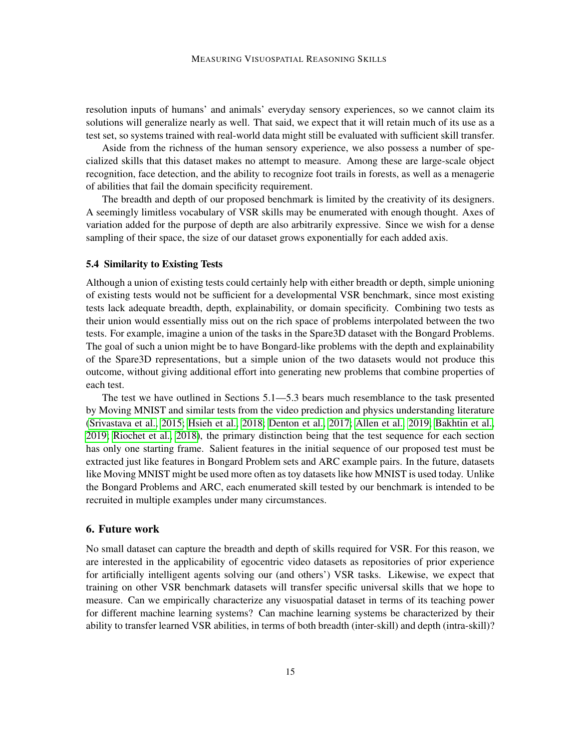resolution inputs of humans' and animals' everyday sensory experiences, so we cannot claim its solutions will generalize nearly as well. That said, we expect that it will retain much of its use as a test set, so systems trained with real-world data might still be evaluated with sufficient skill transfer.

Aside from the richness of the human sensory experience, we also possess a number of specialized skills that this dataset makes no attempt to measure. Among these are large-scale object recognition, face detection, and the ability to recognize foot trails in forests, as well as a menagerie of abilities that fail the domain specificity requirement.

The breadth and depth of our proposed benchmark is limited by the creativity of its designers. A seemingly limitless vocabulary of VSR skills may be enumerated with enough thought. Axes of variation added for the purpose of depth are also arbitrarily expressive. Since we wish for a dense sampling of their space, the size of our dataset grows exponentially for each added axis.

### 5.4 Similarity to Existing Tests

Although a union of existing tests could certainly help with either breadth or depth, simple unioning of existing tests would not be sufficient for a developmental VSR benchmark, since most existing tests lack adequate breadth, depth, explainability, or domain specificity. Combining two tests as their union would essentially miss out on the rich space of problems interpolated between the two tests. For example, imagine a union of the tasks in the Spare3D dataset with the Bongard Problems. The goal of such a union might be to have Bongard-like problems with the depth and explainability of the Spare3D representations, but a simple union of the two datasets would not produce this outcome, without giving additional effort into generating new problems that combine properties of each test.

The test we have outlined in Sections 5.1—5.3 bears much resemblance to the task presented by Moving MNIST and similar tests from the video prediction and physics understanding literature [\(Srivastava et al., 2015;](#page-17-0) [Hsieh et al., 2018;](#page-16-15) [Denton et al., 2017;](#page-16-14) [Allen et al., 2019;](#page-15-2) [Bakhtin et al.,](#page-15-1) [2019;](#page-15-1) [Riochet et al., 2018\)](#page-17-16), the primary distinction being that the test sequence for each section has only one starting frame. Salient features in the initial sequence of our proposed test must be extracted just like features in Bongard Problem sets and ARC example pairs. In the future, datasets like Moving MNIST might be used more often as toy datasets like how MNIST is used today. Unlike the Bongard Problems and ARC, each enumerated skill tested by our benchmark is intended to be recruited in multiple examples under many circumstances.

# 6. Future work

No small dataset can capture the breadth and depth of skills required for VSR. For this reason, we are interested in the applicability of egocentric video datasets as repositories of prior experience for artificially intelligent agents solving our (and others') VSR tasks. Likewise, we expect that training on other VSR benchmark datasets will transfer specific universal skills that we hope to measure. Can we empirically characterize any visuospatial dataset in terms of its teaching power for different machine learning systems? Can machine learning systems be characterized by their ability to transfer learned VSR abilities, in terms of both breadth (inter-skill) and depth (intra-skill)?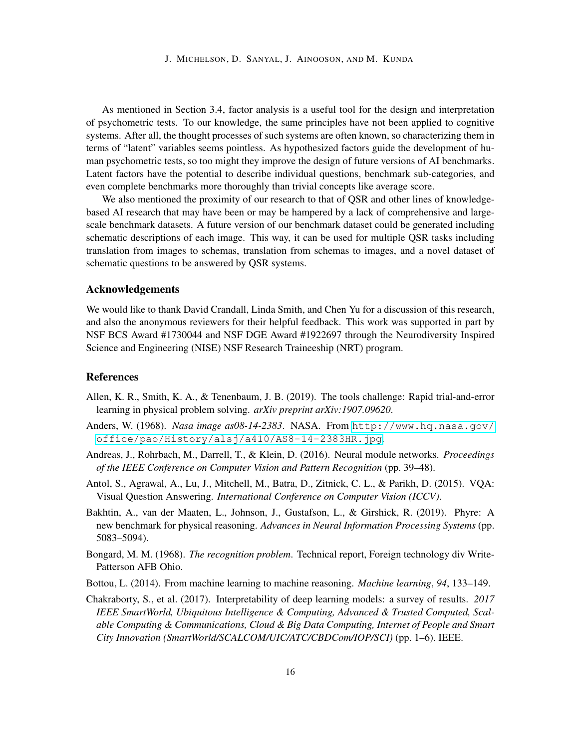As mentioned in Section 3.4, factor analysis is a useful tool for the design and interpretation of psychometric tests. To our knowledge, the same principles have not been applied to cognitive systems. After all, the thought processes of such systems are often known, so characterizing them in terms of "latent" variables seems pointless. As hypothesized factors guide the development of human psychometric tests, so too might they improve the design of future versions of AI benchmarks. Latent factors have the potential to describe individual questions, benchmark sub-categories, and even complete benchmarks more thoroughly than trivial concepts like average score.

We also mentioned the proximity of our research to that of QSR and other lines of knowledgebased AI research that may have been or may be hampered by a lack of comprehensive and largescale benchmark datasets. A future version of our benchmark dataset could be generated including schematic descriptions of each image. This way, it can be used for multiple QSR tasks including translation from images to schemas, translation from schemas to images, and a novel dataset of schematic questions to be answered by QSR systems.

### Acknowledgements

We would like to thank David Crandall, Linda Smith, and Chen Yu for a discussion of this research, and also the anonymous reviewers for their helpful feedback. This work was supported in part by NSF BCS Award #1730044 and NSF DGE Award #1922697 through the Neurodiversity Inspired Science and Engineering (NISE) NSF Research Traineeship (NRT) program.

# References

- <span id="page-15-2"></span>Allen, K. R., Smith, K. A., & Tenenbaum, J. B. (2019). The tools challenge: Rapid trial-and-error learning in physical problem solving. *arXiv preprint arXiv:1907.09620*.
- <span id="page-15-4"></span>Anders, W. (1968). *Nasa image as08-14-2383*. NASA. From [http://www.hq.nasa.gov/](http://www.hq.nasa.gov/office/pao/History/alsj/a410/AS8-14-2383HR.jpg) [office/pao/History/alsj/a410/AS8-14-2383HR.jpg](http://www.hq.nasa.gov/office/pao/History/alsj/a410/AS8-14-2383HR.jpg).
- <span id="page-15-7"></span>Andreas, J., Rohrbach, M., Darrell, T., & Klein, D. (2016). Neural module networks. *Proceedings of the IEEE Conference on Computer Vision and Pattern Recognition* (pp. 39–48).
- <span id="page-15-6"></span>Antol, S., Agrawal, A., Lu, J., Mitchell, M., Batra, D., Zitnick, C. L., & Parikh, D. (2015). VQA: Visual Question Answering. *International Conference on Computer Vision (ICCV)*.
- <span id="page-15-1"></span>Bakhtin, A., van der Maaten, L., Johnson, J., Gustafson, L., & Girshick, R. (2019). Phyre: A new benchmark for physical reasoning. *Advances in Neural Information Processing Systems* (pp. 5083–5094).
- <span id="page-15-0"></span>Bongard, M. M. (1968). *The recognition problem*. Technical report, Foreign technology div Write-Patterson AFB Ohio.
- <span id="page-15-3"></span>Bottou, L. (2014). From machine learning to machine reasoning. *Machine learning*, *94*, 133–149.
- <span id="page-15-5"></span>Chakraborty, S., et al. (2017). Interpretability of deep learning models: a survey of results. *2017 IEEE SmartWorld, Ubiquitous Intelligence & Computing, Advanced & Trusted Computed, Scalable Computing & Communications, Cloud & Big Data Computing, Internet of People and Smart City Innovation (SmartWorld/SCALCOM/UIC/ATC/CBDCom/IOP/SCI)* (pp. 1–6). IEEE.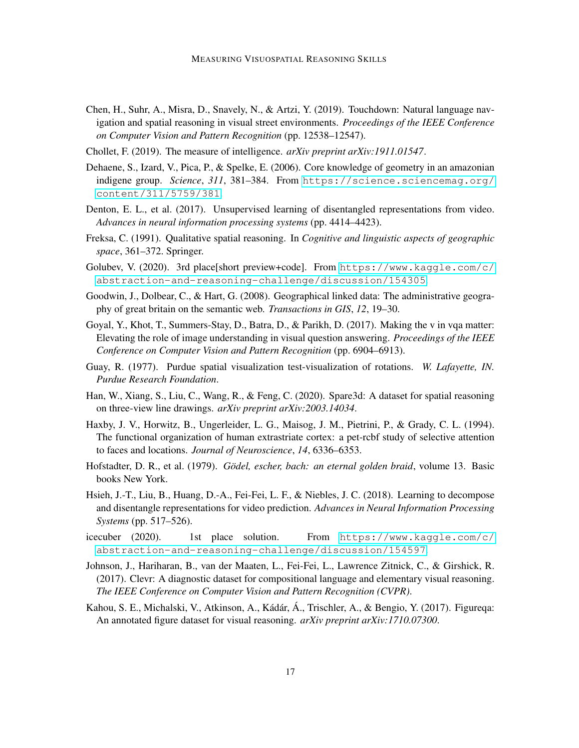- <span id="page-16-13"></span>Chen, H., Suhr, A., Misra, D., Snavely, N., & Artzi, Y. (2019). Touchdown: Natural language navigation and spatial reasoning in visual street environments. *Proceedings of the IEEE Conference on Computer Vision and Pattern Recognition* (pp. 12538–12547).
- <span id="page-16-3"></span>Chollet, F. (2019). The measure of intelligence. *arXiv preprint arXiv:1911.01547*.
- <span id="page-16-2"></span>Dehaene, S., Izard, V., Pica, P., & Spelke, E. (2006). Core knowledge of geometry in an amazonian indigene group. *Science*, *311*, 381–384. From [https://science.sciencemag.org/](https://science.sciencemag.org/content/311/5759/381) [content/311/5759/381](https://science.sciencemag.org/content/311/5759/381).
- <span id="page-16-14"></span>Denton, E. L., et al. (2017). Unsupervised learning of disentangled representations from video. *Advances in neural information processing systems* (pp. 4414–4423).
- <span id="page-16-10"></span>Freksa, C. (1991). Qualitative spatial reasoning. In *Cognitive and linguistic aspects of geographic space*, 361–372. Springer.
- <span id="page-16-5"></span>Golubev, V. (2020). 3rd place[short preview+code]. From [https://www.kaggle.com/c/](https://www.kaggle.com/c/abstraction-and-reasoning-challenge/discussion/154305) [abstraction-and-reasoning-challenge/discussion/154305](https://www.kaggle.com/c/abstraction-and-reasoning-challenge/discussion/154305).
- <span id="page-16-11"></span>Goodwin, J., Dolbear, C., & Hart, G. (2008). Geographical linked data: The administrative geography of great britain on the semantic web. *Transactions in GIS*, *12*, 19–30.
- <span id="page-16-7"></span>Goyal, Y., Khot, T., Summers-Stay, D., Batra, D., & Parikh, D. (2017). Making the v in vqa matter: Elevating the role of image understanding in visual question answering. *Proceedings of the IEEE Conference on Computer Vision and Pattern Recognition* (pp. 6904–6913).
- <span id="page-16-12"></span>Guay, R. (1977). Purdue spatial visualization test-visualization of rotations. *W. Lafayette, IN. Purdue Research Foundation*.
- <span id="page-16-0"></span>Han, W., Xiang, S., Liu, C., Wang, R., & Feng, C. (2020). Spare3d: A dataset for spatial reasoning on three-view line drawings. *arXiv preprint arXiv:2003.14034*.
- <span id="page-16-1"></span>Haxby, J. V., Horwitz, B., Ungerleider, L. G., Maisog, J. M., Pietrini, P., & Grady, C. L. (1994). The functional organization of human extrastriate cortex: a pet-rcbf study of selective attention to faces and locations. *Journal of Neuroscience*, *14*, 6336–6353.
- <span id="page-16-6"></span>Hofstadter, D. R., et al. (1979). *Gödel, escher, bach: an eternal golden braid*, volume 13. Basic books New York.
- <span id="page-16-15"></span>Hsieh, J.-T., Liu, B., Huang, D.-A., Fei-Fei, L. F., & Niebles, J. C. (2018). Learning to decompose and disentangle representations for video prediction. *Advances in Neural Information Processing Systems* (pp. 517–526).
- <span id="page-16-4"></span>icecuber (2020). 1st place solution. From [https://www.kaggle.com/c/](https://www.kaggle.com/c/abstraction-and-reasoning-challenge/discussion/154597) [abstraction-and-reasoning-challenge/discussion/154597](https://www.kaggle.com/c/abstraction-and-reasoning-challenge/discussion/154597).
- <span id="page-16-8"></span>Johnson, J., Hariharan, B., van der Maaten, L., Fei-Fei, L., Lawrence Zitnick, C., & Girshick, R. (2017). Clevr: A diagnostic dataset for compositional language and elementary visual reasoning. *The IEEE Conference on Computer Vision and Pattern Recognition (CVPR)*.
- <span id="page-16-9"></span>Kahou, S. E., Michalski, V., Atkinson, A., Kádár, Á., Trischler, A., & Bengio, Y. (2017). Figureqa: An annotated figure dataset for visual reasoning. *arXiv preprint arXiv:1710.07300*.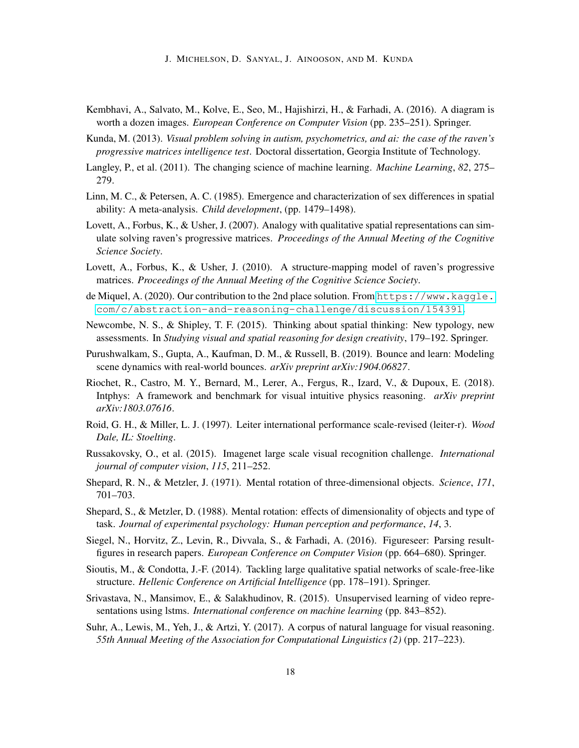J. MICHELSON, D. SANYAL, J. AINOOSON, AND M. KUNDA

- <span id="page-17-10"></span>Kembhavi, A., Salvato, M., Kolve, E., Seo, M., Hajishirzi, H., & Farhadi, A. (2016). A diagram is worth a dozen images. *European Conference on Computer Vision* (pp. 235–251). Springer.
- <span id="page-17-6"></span>Kunda, M. (2013). *Visual problem solving in autism, psychometrics, and ai: the case of the raven's progressive matrices intelligence test*. Doctoral dissertation, Georgia Institute of Technology.
- <span id="page-17-4"></span>Langley, P., et al. (2011). The changing science of machine learning. *Machine Learning*, *82*, 275– 279.
- <span id="page-17-1"></span>Linn, M. C., & Petersen, A. C. (1985). Emergence and characterization of sex differences in spatial ability: A meta-analysis. *Child development*, (pp. 1479–1498).
- <span id="page-17-12"></span>Lovett, A., Forbus, K., & Usher, J. (2007). Analogy with qualitative spatial representations can simulate solving raven's progressive matrices. *Proceedings of the Annual Meeting of the Cognitive Science Society*.
- <span id="page-17-13"></span>Lovett, A., Forbus, K., & Usher, J. (2010). A structure-mapping model of raven's progressive matrices. *Proceedings of the Annual Meeting of the Cognitive Science Society*.
- <span id="page-17-7"></span>de Miquel, A. (2020). Our contribution to the 2nd place solution. From [https://www.kaggle.](https://www.kaggle.com/c/abstraction-and-reasoning-challenge/discussion/154391) [com/c/abstraction-and-reasoning-challenge/discussion/154391](https://www.kaggle.com/c/abstraction-and-reasoning-challenge/discussion/154391).
- <span id="page-17-5"></span>Newcombe, N. S., & Shipley, T. F. (2015). Thinking about spatial thinking: New typology, new assessments. In *Studying visual and spatial reasoning for design creativity*, 179–192. Springer.
- <span id="page-17-17"></span>Purushwalkam, S., Gupta, A., Kaufman, D. M., & Russell, B. (2019). Bounce and learn: Modeling scene dynamics with real-world bounces. *arXiv preprint arXiv:1904.06827*.
- <span id="page-17-16"></span>Riochet, R., Castro, M. Y., Bernard, M., Lerer, A., Fergus, R., Izard, V., & Dupoux, E. (2018). Intphys: A framework and benchmark for visual intuitive physics reasoning. *arXiv preprint arXiv:1803.07616*.
- <span id="page-17-2"></span>Roid, G. H., & Miller, L. J. (1997). Leiter international performance scale-revised (leiter-r). *Wood Dale, IL: Stoelting*.
- <span id="page-17-3"></span>Russakovsky, O., et al. (2015). Imagenet large scale visual recognition challenge. *International journal of computer vision*, *115*, 211–252.
- <span id="page-17-14"></span>Shepard, R. N., & Metzler, J. (1971). Mental rotation of three-dimensional objects. *Science*, *171*, 701–703.
- <span id="page-17-15"></span>Shepard, S., & Metzler, D. (1988). Mental rotation: effects of dimensionality of objects and type of task. *Journal of experimental psychology: Human perception and performance*, *14*, 3.
- <span id="page-17-9"></span>Siegel, N., Horvitz, Z., Levin, R., Divvala, S., & Farhadi, A. (2016). Figureseer: Parsing resultfigures in research papers. *European Conference on Computer Vision* (pp. 664–680). Springer.
- <span id="page-17-11"></span>Sioutis, M., & Condotta, J.-F. (2014). Tackling large qualitative spatial networks of scale-free-like structure. *Hellenic Conference on Artificial Intelligence* (pp. 178–191). Springer.
- <span id="page-17-0"></span>Srivastava, N., Mansimov, E., & Salakhudinov, R. (2015). Unsupervised learning of video representations using lstms. *International conference on machine learning* (pp. 843–852).
- <span id="page-17-8"></span>Suhr, A., Lewis, M., Yeh, J., & Artzi, Y. (2017). A corpus of natural language for visual reasoning. *55th Annual Meeting of the Association for Computational Linguistics (2)* (pp. 217–223).